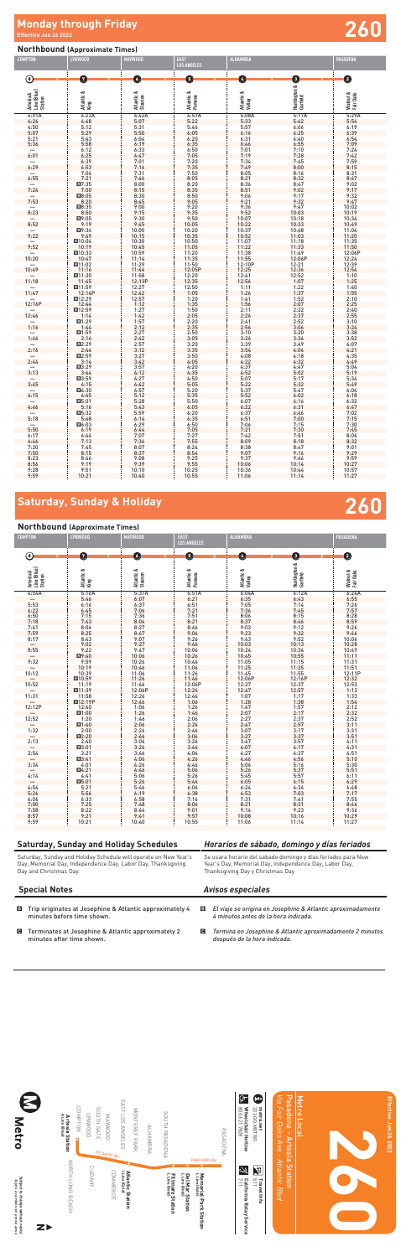### **Northbound (Approximate Times)**

| and the state of the state of the state of the state of the state of the state of the state of the state of th |  |  |
|----------------------------------------------------------------------------------------------------------------|--|--|
|                                                                                                                |  |  |

Saturday, Sunday and Holiday Schedule will operate on New Year's Day, Memorial Day, Independence Day, Labor Day, Thanksgiving Day and Christmas Day.

# **Northbound (Approximate Times)**

| <b>COMPTON</b>                      | LYNWOOD                  | <b>MAYWOOD</b>                                                 | <b>EAST</b><br><b>LOS ANGELES</b> | <b>ALHAMBRA</b>               |                                                                | <b>PASADENA</b>        |
|-------------------------------------|--------------------------|----------------------------------------------------------------|-----------------------------------|-------------------------------|----------------------------------------------------------------|------------------------|
|                                     |                          |                                                                |                                   |                               |                                                                |                        |
| ◉                                   | Ø                        | Q                                                              | O                                 | 0                             | ❶                                                              | $\bullet$              |
| Artesia A<br>Line (Blue)<br>Station | Atlantic &<br>King       | Atlantic &<br>Slauson                                          | Atlantic &<br>Pomona              | Atlantic &<br>Valley          | Huntington & (<br>Garfield                                     | Walnut &<br>Fair Oaks  |
| 4:01A                               | 4:23A                    | 4:42A                                                          | 4:57A                             | 5:08A                         | 5:17A                                                          | 5:29A                  |
| 4:26                                | $4:48$<br>5:12<br>5:29   | $\frac{5:07}{5:31}$<br>$5:50$                                  | 5:22                              | $\frac{5:33}{5:57}$           | 5:42                                                           | $5:54$<br>6:19<br>6:39 |
| 4:50                                |                          |                                                                | 5:46<br>6:05                      |                               | $6:06$<br>$6:25$                                               |                        |
| 5:07<br>5:21                        | 5:43                     | 6:04                                                           | 6:20                              | 6:31                          | 6:40                                                           | 6:54                   |
| 5:36                                | 5:58                     | 6:19                                                           | 6:35                              | 6:46                          | 6:55                                                           | 7:09                   |
| $\qquad \qquad -$                   | 6:12                     |                                                                |                                   |                               |                                                                | 7:24                   |
| 6:01                                | 6:25                     | $6:33$<br>$6:47$                                               | $6:50$<br>$7:05$                  | $7:01$<br>$7:19$              | 7:10<br>7:28<br>7:45                                           | 7:42                   |
| $\qquad \qquad -$                   | 6:39                     | 7:01                                                           | 7:20                              | 7:34                          |                                                                | 7:59                   |
| 6:29                                | 6:53                     | 7:16                                                           | 7:35                              | 7:49                          | 8:00                                                           | 8:15                   |
| $-$<br>6:55                         | 7:06                     | $7:31$<br>$7:46$                                               | $7:50$<br>8:05<br>8:20<br>8:35    | $8:05$<br>$8:21$              | 8:16                                                           | 8:31                   |
| $\qquad \qquad -$                   | 7:21                     |                                                                |                                   |                               | 8:32                                                           | $8:47$<br>9:02         |
| 7:24                                | $\frac{27:35}{7:50}$     | $\frac{8:00}{8:15}$                                            |                                   | $8:36$<br>$8:51$              | $8:47$<br>$9:02$                                               | 9:17                   |
|                                     | <b>E8:05</b>             | 8:30                                                           | 8:50                              | 9:06                          | 9:17                                                           | 9:32                   |
| 7:53                                | 8:20                     | 8:45                                                           | 9:05                              | 9:21                          | 9:32                                                           | 9:47                   |
| $\qquad \qquad -$                   | ■8:35                    | $9:00$<br>$9:15$                                               | $9:20$<br>$9:35$                  | $9:36$<br>$9:52$<br>$10:07$   | $9:47$<br>10:03<br>10:18<br>10:33                              | 10:02                  |
| 8:23                                | $8:50$<br>El9:05         | 9:30                                                           | 9:50                              |                               |                                                                | 10:19<br>10:34         |
| 8:52                                | 9:19                     | 9:45                                                           | 10:05                             | 10:22                         |                                                                | 10:49                  |
|                                     | 图9:34                    |                                                                |                                   |                               |                                                                | 11:04                  |
| 9:22                                | 9:49                     | $10:00$<br>$10:15$                                             | $10:20$<br>$10:35$                | $10:37$<br>$10:52$            |                                                                | 11:20                  |
| $\frac{-}{9:52}$                    | $\frac{10:04}{10:19}$    | $\frac{10:30}{10:45}$                                          | 10:50<br>11:05                    | $11:07$<br>$11:22$<br>$11:38$ | 10:48<br>11:03<br>11:18<br>11:33<br>11:49                      | 11:35                  |
|                                     |                          |                                                                |                                   |                               |                                                                | 11:50                  |
| 10:20                               | ■10:33                   | 10:59                                                          | 11:20                             |                               |                                                                | 12:06P                 |
|                                     | 10:47<br>■11:02          | 11:14<br>11:29                                                 | 11:35                             | 11:55<br>12:10P               | 12:06P                                                         | 12:24                  |
| $\frac{-}{10:49}$                   | 11:16                    | 11:44                                                          | $11:50$<br>$12:05P$<br>$12:20$    |                               | $\begin{array}{r} 12:21 \\ 12:36 \\ 12:52 \\ 1:07 \end{array}$ | 12:39<br>12:54         |
|                                     | ■11:30                   | 11:58                                                          |                                   | $12:25$<br>$12:41$<br>$12:56$ |                                                                | 1:10                   |
| $\frac{-}{11:18}$                   | 11:45                    | 12:13P                                                         | 12:35                             |                               |                                                                | 1:25                   |
| 11:47                               | <b>El</b> 11:59          | $\begin{array}{r} 12:27 \\ 12:42 \\ 12:57 \\ 1:12 \end{array}$ | 12:50                             | 1:11                          | $1:22$<br>$1:37$<br>$1:52$<br>$2:07$                           | 1:40                   |
|                                     | 12:14P                   |                                                                | $\frac{1:05}{1:20}$<br>$1:35$     | 1:26                          |                                                                | 1:55                   |
| $\frac{-}{12:16P}$                  | $\frac{12:29}{12:44}$    |                                                                |                                   | 1:41<br>1:56                  |                                                                | 2:10<br>2:25           |
|                                     | ■12:59                   | 1:27                                                           | 1:50                              | 2:11                          | 2:22                                                           | 2:40                   |
| 12:46                               | 1:14                     | $1:42$<br>$1:57$<br>$2:12$<br>$2:27$<br>$2:42$                 | 2:05                              | 2:26                          | 2:37                                                           | 2:55                   |
|                                     | 图1:29                    |                                                                | $2:20$<br>$2:35$                  | $2:41$<br>$2:56$              | 2:52                                                           | 3:10                   |
| $\frac{-}{1:16}$                    | 1:44                     |                                                                |                                   |                               | $3:06$<br>$3:20$<br>$3:34$                                     | 3:24                   |
|                                     | 1:59                     |                                                                | 2:50                              | 3:10                          |                                                                | 3:38                   |
| 1:46                                | 2:14                     | 2:57                                                           | 3:05                              | 3:24                          | 3:49                                                           | 3:52<br>4:07           |
| $\qquad \qquad -$<br>2:16           | <b>E2:29</b>             | 3:12                                                           | $3:20$<br>$3:35$                  | 3:39<br>3:54                  | 4:04                                                           | 4:21                   |
|                                     |                          |                                                                | 3:50                              | 4:08                          |                                                                | 4:35                   |
| 2:44                                | $2:44$<br>El2:59<br>3:14 | $3:27$<br>$3:42$                                               | 4:05                              | 4:22                          | $4:18$<br>$4:32$                                               | 4:49                   |
|                                     | <b>E3:29</b>             | 3:57                                                           | 4:20                              | 4:37                          | 4:47                                                           | 5:04                   |
| 3:13                                | 3:44                     | 4:12                                                           | 4:35                              | 4:52                          | 5:02                                                           | 5:19                   |
| 3:45                                | 4:15                     | $4:27$<br>$4:42$                                               | $4:50$<br>$5:05$                  | 5:07<br>5:22<br>5:37          | $5:17$<br>$5:32$<br>$5:47$<br>$6:02$                           | 5:34<br>5:49           |
|                                     | <b>E</b> 4:30            | 4:57                                                           | 5:20                              |                               |                                                                | 6:04                   |
| 4:15                                | 4:45                     | 5:12                                                           | 5:35                              | 5:52                          |                                                                | 6:18                   |
|                                     | 回5:01                    | 5:28                                                           | 5:50                              | 6:07                          | 6:16                                                           | 6:32                   |
| 4:46                                | 5:16                     | 5:43                                                           | 6:05                              | 6:22                          | 6:31                                                           | 6:47                   |
| $\overline{\phantom{0}}$            | ■5:32                    | 5:59                                                           | 6:20                              | 6:37                          | 6:46                                                           | 7:02                   |
| 5:18                                | 5:48<br>■6:03            | 6:14                                                           | 6:35<br>6:50                      | 6:51<br>7:06                  | 7:00<br>7:15                                                   | 7:15<br>7:30           |
| 5:50                                | 6:19                     | 6:29<br>6:44                                                   | 7:05                              | 7:21                          | 7:30                                                           | 7:45                   |
| 6:17                                | 6:44                     | 7:07                                                           | 7:27                              | 7:42                          | 7:51                                                           | 8:06                   |
| 6:46                                | 7:13                     | 7:36                                                           | 7:55                              | 8:09                          | 8:18                                                           | 8:32                   |
| 7:20                                | 7:45                     | 8:07                                                           | 8:24                              | 8:38                          | 8:47                                                           | 9:01                   |
| 7:50                                | 8:15                     | 8:37                                                           | 8:54                              | 9:07                          | 9:16                                                           | 9:29                   |
| 8:23                                | 8:46                     | 9:08                                                           | 9:25                              | 9:37                          | 9:46                                                           | 9:59                   |
| 8:56<br>9:28                        | 9:19<br>9:51             | 9:39<br>10:10                                                  | 9:55<br>10:25                     | 10:06<br>10:36                | 10:14<br>10:44                                                 | 10:27<br>10:57         |
| 9:59                                | 10:21                    | 10:40                                                          | 10:55                             | 11:06                         | 11:14                                                          | 11:27                  |

| <b>COMPTON</b>                      | LYNWOOD                                                                      | <b>MAYWOOD</b>                       | <b>EAST</b><br><b>LOS ANGELES</b>              | <b>ALHAMBRA</b>                                                          |                                                              | <b>PASADENA</b>                                                          |
|-------------------------------------|------------------------------------------------------------------------------|--------------------------------------|------------------------------------------------|--------------------------------------------------------------------------|--------------------------------------------------------------|--------------------------------------------------------------------------|
|                                     | Ø                                                                            | O                                    | O                                              | ❹                                                                        | ➊                                                            |                                                                          |
| ◉                                   |                                                                              |                                      |                                                |                                                                          |                                                              | ❷                                                                        |
| Artesia A<br>Line (Blue)<br>Station | Atlantic &<br>King                                                           | Atlantic &<br>Slauson                | Atlantic &<br>Pomona                           | Atlantic &<br>Valley                                                     | Huntington &<br>Garfield                                     | Walnut &<br>Fair Oaks                                                    |
| 4:54A                               | 5:16A                                                                        | 5:37A                                | 5:51A                                          |                                                                          | 6:12A                                                        | 6:24A                                                                    |
|                                     | $5:46$<br>6:16<br>6:45<br>7:15<br>7:43                                       |                                      | $6:21$<br>$6:51$<br>$7:21$<br>$7:51$<br>$8:21$ | $6:04A$<br>$6:35$<br>$7:05$<br>$7:36$                                    | 6:43                                                         | 6:55<br>6:55<br>7:26<br>7:57<br>8:28<br>8:59                             |
| 5:53                                |                                                                              | $6:07$<br>$6:37$                     |                                                |                                                                          | $7:14$<br>$7:45$                                             |                                                                          |
| 6:22                                |                                                                              | 7:06                                 |                                                |                                                                          |                                                              |                                                                          |
| $6:50$<br>$7:18$                    |                                                                              | 7:36                                 |                                                | $8:06$<br>$8:37$                                                         | $8:15$<br>$8:46$                                             |                                                                          |
|                                     |                                                                              | 8:04<br>8:27<br>8:47<br>9:07<br>9:27 |                                                |                                                                          |                                                              |                                                                          |
| 7:41                                |                                                                              |                                      |                                                |                                                                          |                                                              |                                                                          |
| 7:59                                | $8:06$<br>$8:25$                                                             |                                      | $8:46$<br>9:06                                 | $9:03$<br>$9:23$                                                         | $9:12$<br>$9:32$                                             | $9:26$<br>9:46                                                           |
| 8:17                                | $8:43$<br>$9:02$                                                             |                                      | 9:26                                           | $9:43$<br>10:03                                                          | 9:52                                                         | $10:06$<br>$10:28$                                                       |
|                                     |                                                                              |                                      | 9:46                                           |                                                                          | 10:13                                                        |                                                                          |
| 8:55                                | $9:22$<br>$9:40$<br>$9:59$                                                   | 9:47                                 | $10:06$<br>$10:26$<br>$10:46$                  | $\begin{array}{r} 10:24 \\ 10:45 \\ 11:05 \end{array}$                   | $10:34$<br>$10:55$                                           | $\frac{10:49}{11:11}$<br>11:31                                           |
|                                     |                                                                              | 10:06                                |                                                |                                                                          |                                                              |                                                                          |
| 9:32                                |                                                                              | 10:26                                |                                                |                                                                          | $11:15$<br>$11:35$                                           |                                                                          |
|                                     | 10:19                                                                        | 10:46                                | 11:06                                          | 11:25                                                                    |                                                              |                                                                          |
| 10:12                               | 10:39                                                                        | 11:06                                | 11:26                                          |                                                                          |                                                              |                                                                          |
|                                     |                                                                              | 11:26                                | $11:46$<br>$12:06P$                            |                                                                          |                                                              |                                                                          |
| 10:52                               | $\frac{110.59}{11.19}$                                                       | 11:46<br>12:06P                      |                                                | $\begin{array}{r} 11.25 \\ 11.45 \\ 12.06 \\ 12.27 \\ 12.47 \end{array}$ | $11:55$<br>$12:16P$<br>$12:37$                               | $\begin{array}{c} 11.51 \\ 12.11P \\ 12.32 \\ 12.53 \\ 1.13 \end{array}$ |
|                                     |                                                                              |                                      | 12:26                                          |                                                                          | 12:57                                                        |                                                                          |
| 11:31                               |                                                                              | 12:26                                | 12:46                                          |                                                                          |                                                              |                                                                          |
|                                     | $\frac{11:58}{212:19P}$                                                      | 12:46                                | 1:06                                           | $1:07$<br>$1:28$<br>$1:47$<br>$2:07$                                     | $1:17$<br>$1:38$<br>$1:57$<br>$2:17$                         | $1:33$<br>$1:54$<br>$2:12$                                               |
| 12:12P                              | $12:40$<br>B <sub>1:00</sub>                                                 | 1:06                                 | 1:26                                           |                                                                          |                                                              |                                                                          |
|                                     |                                                                              | 1:26                                 | 1:46                                           |                                                                          |                                                              | 2:32                                                                     |
| 12:52                               | 1:20                                                                         | 1:46                                 | $2:06$<br>$2:26$                               | $2:27$<br>$2:47$                                                         | $2:37$<br>$2:57$                                             | 2:52                                                                     |
|                                     | 1:40                                                                         | 2:06                                 |                                                |                                                                          |                                                              | 3:11                                                                     |
| 1:32                                | $2:00$<br>El2:20                                                             | 2:26                                 | $2:46$<br>$3:06$                               | $3:07$<br>$3:27$<br>$3:47$                                               |                                                              | $3:31$<br>$3:51$                                                         |
| $\frac{-}{2:13}$                    |                                                                              | 2:46                                 |                                                |                                                                          |                                                              |                                                                          |
|                                     | 2:40                                                                         | 3:06                                 | 3:26                                           |                                                                          | $3:17$<br>$3:37$<br>$3:57$<br>$4:17$                         | 4:11                                                                     |
|                                     | <b>E3:01</b>                                                                 | 3:26                                 | 3:46                                           | 4:07                                                                     |                                                              | 4:31                                                                     |
| 2:54                                | $\begin{array}{r} 3:21 \\ 3:41 \\ 4:01 \\ \hline \textbf{B4}:21 \end{array}$ | 3:46                                 | 4:06                                           | $4:27$<br>$4:46$<br>$5:06$                                               |                                                              | 4:51                                                                     |
|                                     |                                                                              | 4:06                                 | 4:26                                           |                                                                          |                                                              | 5:10                                                                     |
| 3:34                                |                                                                              | 4:26                                 | 4:46                                           |                                                                          |                                                              | 5:30                                                                     |
|                                     |                                                                              | 4:46                                 | 5:06<br>5:26                                   | 5:26                                                                     |                                                              | $5:51$<br>$6:11$                                                         |
| 4:14                                | 4:41                                                                         | 5:06                                 |                                                | 5:45                                                                     |                                                              |                                                                          |
|                                     | $\begin{array}{r} 11.71 \\ 5:21 \\ 5:54 \\ 6:33 \\ 7:25 \end{array}$         | 5:26                                 | 5:46                                           | $6:05$<br>$6:24$<br>$6:53$<br>$7:31$<br>$8:21$                           | 4:37<br>4:56<br>5:16<br>5:37<br>5:57<br>6:15<br>6:34<br>7:03 | 6:29                                                                     |
| 4:54<br>5:26                        |                                                                              | $5:46$<br>6:19                       | $6:06$<br>$6:38$                               |                                                                          |                                                              | $6:48$<br>$7:17$                                                         |
|                                     |                                                                              |                                      |                                                |                                                                          |                                                              |                                                                          |
| 6:06<br>7:00                        |                                                                              | $6:58$<br>7:48                       | $7:16$<br>$8:06$                               |                                                                          | $7:41$<br>$8:31$                                             | 7:55<br>8:44                                                             |
|                                     |                                                                              |                                      |                                                |                                                                          |                                                              |                                                                          |
| 7:58<br>8:57                        | $8:22$<br>$9:21$                                                             | 8:44<br>9:41                         | $9:01$<br>$9:57$                               | $9:14$<br>10:08                                                          | 9:23<br>10:16                                                |                                                                          |
| 9:59                                | 10:21                                                                        | 10:40                                | 10:55                                          | 11:06                                                                    | 11:14                                                        | $9:36$<br>$10:29$<br>$11:27$                                             |
|                                     |                                                                              |                                      |                                                |                                                                          |                                                              |                                                                          |

# **Saturday, Sunday & Holiday**

# **Effective Jun 26 2022 260 Monday through Friday**

## **Saturday, Sunday and Holiday Schedules**

## *Horarios de sábado, domingo y días feriados*

Se usara horario del sabado domingo y dias feriados para New Year's Day, Memorial Day, Independence Day, Labor Day, Thanksgiving Day y Christmas Day



#### B Trip originates at Josephine & Atlantic approximately 4 minutes before time shown. B *El viaje se origina en Josephine & Atlantic aproximadamente 4 minutos antes de la hora indicada.* **Special Notes** *Avisos especiales*

- C Terminates at Josephine & Atlantic approximately 2 minutes after time shown.
- C *Termina en Josephine & Atlantic aproximadamente 2 minutos después de la hora indicada.*

# **260**